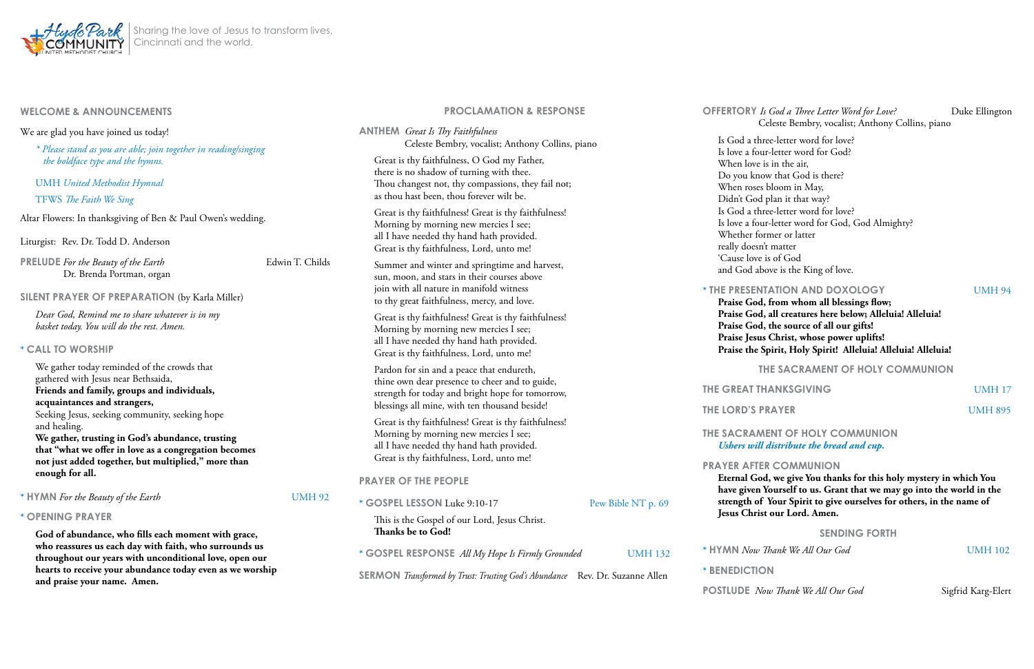| <b>WELCOME &amp; ANNOUNCEMENTS</b>                                                                                                                                                                                  |                 | <b>PROCLAMATION &amp; RESPONSE</b>                                                                                                                                                               |                    | <b>OFFERTORY</b>                                             |
|---------------------------------------------------------------------------------------------------------------------------------------------------------------------------------------------------------------------|-----------------|--------------------------------------------------------------------------------------------------------------------------------------------------------------------------------------------------|--------------------|--------------------------------------------------------------|
| We are glad you have joined us today!<br>* Please stand as you are able; join together in reading/singing<br>the boldface type and the hymns.<br><b>UMH</b> United Methodist Hymnal<br>TFWS The Faith We Sing       |                 | <b>ANTHEM</b> Great Is Thy Faithfulness<br>Celeste Bembry, vocalist; Anthony Collins, piano                                                                                                      |                    | Is God a<br>Is love a f<br>When low<br>Do you k<br>When ro.  |
|                                                                                                                                                                                                                     |                 | Great is thy faithfulness, O God my Father,<br>there is no shadow of turning with thee.<br>Thou changest not, thy compassions, they fail not;<br>as thou hast been, thou forever wilt be.        |                    |                                                              |
|                                                                                                                                                                                                                     |                 |                                                                                                                                                                                                  |                    |                                                              |
|                                                                                                                                                                                                                     |                 |                                                                                                                                                                                                  |                    | Altar Flowers: In thanksgiving of Ben & Paul Owen's wedding. |
| Liturgist: Rev. Dr. Todd D. Anderson                                                                                                                                                                                |                 |                                                                                                                                                                                                  |                    |                                                              |
| <b>PRELUDE</b> For the Beauty of the Earth<br>Dr. Brenda Portman, organ                                                                                                                                             | Edwin T. Childs | Summer and winter and springtime and harvest,<br>sun, moon, and stars in their courses above                                                                                                     |                    | 'Cause lo<br>and God                                         |
| <b>SILENT PRAYER OF PREPARATION (by Karla Miller)</b><br>Dear God, Remind me to share whatever is in my<br>basket today. You will do the rest. Amen.<br>* CALL TO WORSHIP                                           |                 | join with all nature in manifold witness<br>to thy great faithfulness, mercy, and love.                                                                                                          |                    | * THE PRESE<br>Praise G<br>Praise G<br>Praise G<br>Praise Je |
|                                                                                                                                                                                                                     |                 | Great is thy faithfulness! Great is thy faithfulness!<br>Morning by morning new mercies I see;<br>all I have needed thy hand hath provided.<br>Great is thy faithfulness, Lord, unto me!         |                    |                                                              |
|                                                                                                                                                                                                                     |                 |                                                                                                                                                                                                  |                    | Praise th                                                    |
| We gather today reminded of the crowds that<br>gathered with Jesus near Bethsaida,<br>Friends and family, groups and individuals,<br>acquaintances and strangers,<br>Seeking Jesus, seeking community, seeking hope |                 | Pardon for sin and a peace that endureth,<br>thine own dear presence to cheer and to guide,<br>strength for today and bright hope for tomorrow,<br>blessings all mine, with ten thousand beside! |                    | <b>THE GREAT</b>                                             |
|                                                                                                                                                                                                                     |                 |                                                                                                                                                                                                  |                    | <b>THE LORD'S</b>                                            |
| and healing.<br>We gather, trusting in God's abundance, trusting<br>that "what we offer in love as a congregation becomes                                                                                           |                 | Great is thy faithfulness! Great is thy faithfulness!<br>Morning by morning new mercies I see;<br>all I have needed thy hand hath provided.<br>Great is thy faithfulness, Lord, unto me!         |                    | <b>THE SACRA</b><br><b>Ushers</b> w                          |
| not just added together, but multiplied," more than                                                                                                                                                                 |                 |                                                                                                                                                                                                  |                    | <b>PRAYER AF</b>                                             |
| enough for all.                                                                                                                                                                                                     |                 | <b>PRAYER OF THE PEOPLE</b>                                                                                                                                                                      |                    | Eternal O                                                    |
| * HYMN For the Beauty of the Earth                                                                                                                                                                                  | <b>UMH 92</b>   | * GOSPEL LESSON Luke 9:10-17                                                                                                                                                                     | Pew Bible NT p. 69 | have give<br>strength                                        |
| * OPENING PRAYER                                                                                                                                                                                                    |                 | This is the Gospel of our Lord, Jesus Christ.                                                                                                                                                    |                    | <b>Jesus Ch</b>                                              |
| God of abundance, who fills each moment with grace,                                                                                                                                                                 |                 | <b>Thanks be to God!</b>                                                                                                                                                                         |                    |                                                              |
| who reassures us each day with faith, who surrounds us<br>throughout our years with unconditional love, open our<br>hearts to receive your abundance today even as we worship<br>and praise your name. Amen.        |                 | * GOSPEL RESPONSE All My Hope Is Firmly Grounded                                                                                                                                                 | <b>UMH 132</b>     | * HYMN No                                                    |
|                                                                                                                                                                                                                     |                 | <b>SERMON</b> Transformed by Trust: Trusting God's Abundance Rev. Dr. Suzanne Allen                                                                                                              |                    | * BENEDICT                                                   |

**Y** *Is God a Three Letter Word for Love?* Duke Ellington Celeste Bembry, vocalist; Anthony Collins, piano three-letter word for love? four-letter word for God? ve is in the air, know that God is there? ses bloom in May, od plan it that way? three-letter word for love? four-letter word for God, God Almighty? former or latter esn't matter ove is of God above is the King of love. **ENTATION AND DOXOLOGY** UMH 94 **Praise God, from whom all blessings flow;** 

*<u>MENT OF HOLY COMMUNION</u> Ushers will distribute the bread and cup.* 

#### **FTER COMMUNION**

**Eternal God, we give You thanks for this holy mystery in which You have given Yourself to us. Grant that we may go into the world in the**  of Your Spirit to give ourselves for others, in the name of **Industrian Cord. Amen.** 



**Praise God, all creatures here below; Alleluia! Alleluia! Praise God, the source of all our gifts! Praise Jesus Christ, whose power uplifts! Praise the Spirit, Holy Spirit! Alleluia! Alleluia! Alleluia!**

**THE SACRAMENT OF HOLY COMMUNION**

**THANKSGIVING** UMH 17

**SENDING FORTH**

*M Now Thank We All Our God* **UMH** 102

**BENEON** 

POSTLUDE *Now Thank We All Our God* Sigfrid Karg-Elert

**SPRAYER UMH 895**